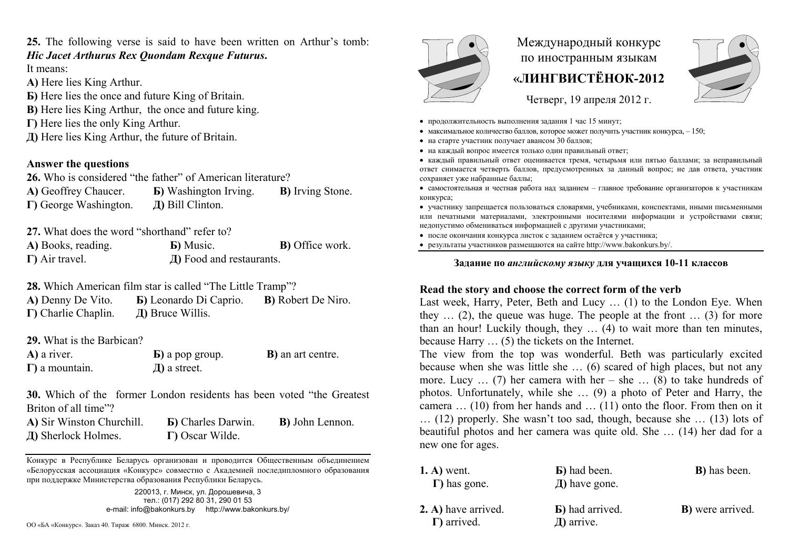## **25.** The following verse is said to have been written on Arthur's tomb: *Hic Jacet Arthurus Rex Quondam Rexque Futurus***.**

It means:

- **А)** Here lies King Arthur.
- **Б)** Here lies the once and future King of Britain.
- **B**) Here lies King Arthur, the once and future king.
- **Г)** Here lies the only King Arthur.
- **Д)** Here lies King Arthur, the future of Britain.

### **Answer the questions**

**26.** Who is considered "the father" of American literature? **А)** Geoffrey Chaucer. **Б)** Washington Irving. **В)** Irving Stone. **Г)** George Washington. **Д)** Bill Clinton.

**27.** What does the word "shorthand" refer to?

| A) Books, reading.     | <b>b</b> ) Music.        | <b>B</b> ) Office work. |
|------------------------|--------------------------|-------------------------|
| $\Gamma$ ) Air travel. | Д) Food and restaurants. |                         |

**28.** Which American film star is called "The Little Tramp"?

| A) Denny De Vito.           | <b>E</b> ) Leonardo Di Caprio. | <b>B</b> ) Robert De Niro. |
|-----------------------------|--------------------------------|----------------------------|
| $\Gamma$ ) Charlie Chaplin. | $\pi$ ) Bruce Willis.          |                            |

**29.** What is the Barbican?

| A) a river.            | $\bf{E}$ ) a pop group. | <b>B</b> ) an art centre. |
|------------------------|-------------------------|---------------------------|
| $\Gamma$ ) a mountain. | $\mu$ ) a street.       |                           |

**30.** Which of the former London residents has been voted "the Greatest Briton of all time"?

| A) Sir Winston Churchill. | <b>B</b> ) Charles Darwin. | <b>B</b> ) John Lennon. |
|---------------------------|----------------------------|-------------------------|
| Д) Sherlock Holmes.       | $\Gamma$ ) Oscar Wilde.    |                         |

Конкурс <sup>в</sup> Республике Беларусь организован <sup>и</sup> проводится Общественным объединением «Белорусская ассоциация «Конкурс» совместно <sup>с</sup> Академией последипломного образования при поддержке Министерства образования Республики Беларусь.



# Международный конкурс по иностранным языкам **«ЛИНГВИСТЁНОК-2012**



Четверг, 19 апреля 2012 г.

- продолжительность выполнения задания 1 час 15 минут;
- максимальное количество баллов, которое может получить участник конкурса,  $-150$ ;
- на старте участник получает авансом 30 баллов;
- на каждый вопрос имеется только один правильный ответ;

 каждый правильный ответ оценивается тремя, четырьмя или пятью баллами; за неправильный ответ снимается четверть баллов, предусмотренных за данный вопрос; не дав ответа, участник сохраняет уже набранные баллы;

 самостоятельная и честная работа над заданием – главное требование организаторов <sup>к</sup> участникам конкурса;

 участнику запрещается пользоваться словарями, учебниками, конспектами, иными письменными или печатными материалами, электронными носителями информации <sup>и</sup> устройствами связи; недопустимо обмениваться информацией <sup>с</sup> другими участниками;

после окончания конкурса листок <sup>с</sup> заданием остаётся у участника;

результаты участников размещаются на сайте http://www.bakonkurs.by/.

#### **Задание по** *английскому языку* **для учащихся 10-11 классов**

### **Read the story and choose the correct form of the verb**

Last week, Harry, Peter, Beth and Lucy … (1) to the London Eye. When they  $\ldots$  (2), the queue was huge. The people at the front  $\ldots$  (3) for more than an hour! Luckily though, they … (4) to wait more than ten minutes, because Harry … (5) the tickets on the Internet.

The view from the top was wonderful. Beth was particularly excited because when she was little she … (6) scared of high places, but not any more. Lucy  $\ldots$  (7) her camera with her – she  $\ldots$  (8) to take hundreds of photos. Unfortunately, while she … (9) a photo of Peter and Harry, the camera … (10) from her hands and … (11) onto the floor. From then on it … (12) properly. She wasn't too sad, though, because she … (13) lots of beautiful photos and her camera was quite old. She … (14) her dad for a new one for ages.

| конкурс в генуолике веларуев организован и проводится Общественным обвединением<br>«Белорусская ассоциация «Конкурс» совместно с Академией последипломного образования<br>при поддержке Министерства образования Республики Беларусь. | $(A)$ went.<br>$\Gamma$ ) has gone.        | <b>B</b> ) had been.<br>$\pi$ ) have gone. | <b>B</b> ) has been.     |
|---------------------------------------------------------------------------------------------------------------------------------------------------------------------------------------------------------------------------------------|--------------------------------------------|--------------------------------------------|--------------------------|
| 220013, г. Минск, ул. Дорошевича, 3<br>тел.: (017) 292 80 31, 290 01 53                                                                                                                                                               |                                            |                                            |                          |
| e-mail: info@bakonkurs.by<br>http://www.bakonkurs.by/                                                                                                                                                                                 | 2. A) have arrived.<br>$\Gamma$ ) arrived. | <b>B</b> ) had arrived.<br>$\pi$ ) arrive. | <b>B</b> ) were arrived. |
| ОО «БА «Конкурс». Заказ 40. Тираж 6800. Минск. 2012 г.                                                                                                                                                                                |                                            |                                            |                          |